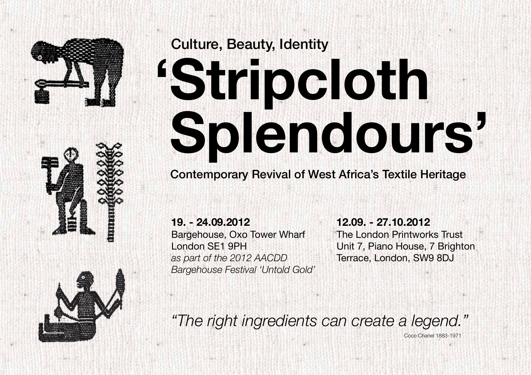

## Culture, Beauty, Identity **'Stripcloth Splendours'**

Contemporary Revival of West Africa's Textile Heritage

**19. - 24.09.2012**  Bargehouse, Oxo Tower Wharf London SE1 9PH *as part of the 2012 AACDD Bargehouse Festival 'Untold Gold'*

**12.09. - 27.10.2012**  The London Printworks Trust Unit 7, Piano House, 7 Brighton Terrace, London, SW9 8DJ

Coco Chanel 1883-1971

*"The right ingredients can create a legend."*